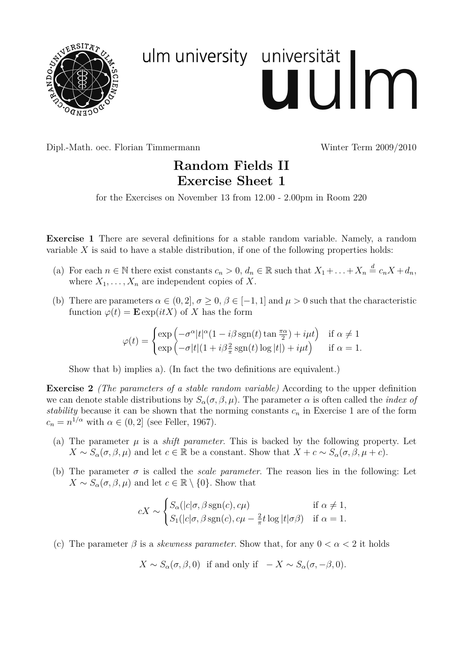

## ulm university universität uulm

Dipl.-Math. oec. Florian Timmermann Winter Term 2009/2010

## **Random Fields II Exercise Sheet 1**

for the Exercises on November 13 from 12.00 - 2.00pm in Room 220

**Exercise 1** There are several definitions for a stable random variable. Namely, a random variable *X* is said to have a stable distribution, if one of the following properties holds:

- (a) For each  $n \in \mathbb{N}$  there exist constants  $c_n > 0$ ,  $d_n \in \mathbb{R}$  such that  $X_1 + \ldots + X_n \stackrel{d}{=} c_n X + d_n$ , where  $X_1, \ldots, X_n$  are independent copies of X.
- (b) There are parameters  $\alpha \in (0,2], \sigma \geq 0, \beta \in [-1,1]$  and  $\mu > 0$  such that the characteristic function  $\varphi(t) = \mathbf{E} \exp(itX)$  of *X* has the form

$$
\varphi(t) = \begin{cases} \exp\left(-\sigma^{\alpha}|t|^{\alpha}(1 - i\beta \operatorname{sgn}(t) \tan \frac{\pi \alpha}{2}) + i\mu t\right) & \text{if } \alpha \neq 1\\ \exp\left(-\sigma|t|(1 + i\beta \frac{2}{\pi} \operatorname{sgn}(t) \log |t|) + i\mu t\right) & \text{if } \alpha = 1. \end{cases}
$$

Show that b) implies a). (In fact the two definitions are equivalent.)

**Exercise 2** *(The parameters of a stable random variable)* According to the upper definition we can denote stable distributions by  $S_\alpha(\sigma, \beta, \mu)$ . The parameter  $\alpha$  is often called the *index of stability* because it can be shown that the norming constants  $c_n$  in Exercise 1 are of the form  $c_n = n^{1/\alpha}$  with  $\alpha \in (0, 2]$  (see Feller, 1967).

- (a) The parameter  $\mu$  is a *shift parameter*. This is backed by the following property. Let  $X \sim S_\alpha(\sigma, \beta, \mu)$  and let  $c \in \mathbb{R}$  be a constant. Show that  $X + c \sim S_\alpha(\sigma, \beta, \mu + c)$ .
- (b) The parameter  $\sigma$  is called the *scale parameter*. The reason lies in the following: Let  $X \sim S_\alpha(\sigma, \beta, \mu)$  and let  $c \in \mathbb{R} \setminus \{0\}$ . Show that

$$
cX \sim \begin{cases} S_{\alpha}(|c|\sigma, \beta \operatorname{sgn}(c), c\mu) & \text{if } \alpha \neq 1, \\ S_1(|c|\sigma, \beta \operatorname{sgn}(c), c\mu - \frac{2}{\pi}t \log|t|\sigma\beta) & \text{if } \alpha = 1. \end{cases}
$$

(c) The parameter  $\beta$  is a *skewness parameter*. Show that, for any  $0 < \alpha < 2$  it holds

 $X \sim S_\alpha(\sigma, \beta, 0)$  if and only if  $-X \sim S_\alpha(\sigma, -\beta, 0)$ *.*